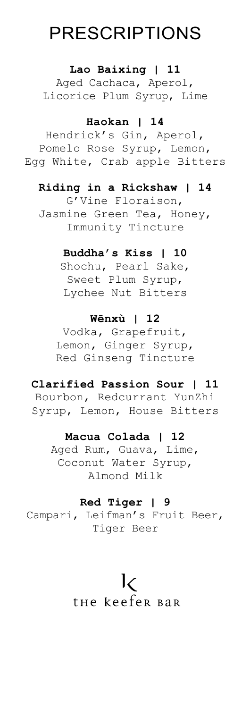# PRESCRIPTIONS

#### **Lao Baixing | 11**

Aged Cachaca, Aperol, Licorice Plum Syrup, Lime

## **Haokan | 14**

Hendrick's Gin, Aperol, Pomelo Rose Syrup, Lemon, Egg White, Crab apple Bitters

#### **Riding in a Rickshaw | 14**

G'Vine Floraison, Jasmine Green Tea, Honey, Immunity Tincture

#### **Buddha's Kiss | 10**

Shochu, Pearl Sake, Sweet Plum Syrup, Lychee Nut Bitters

#### **Wēnxù | 12**

Vodka, Grapefruit, Lemon, Ginger Syrup, Red Ginseng Tincture

## **Clarified Passion Sour | 11**

Bourbon, Redcurrant YunZhi Syrup, Lemon, House Bitters

### **Macua Colada | 12**

Aged Rum, Guava, Lime, Coconut Water Syrup, Almond Milk

#### **Red Tiger | 9**

Campari, Leifman's Fruit Beer, Tiger Beer

# $\mathsf{I}\mathsf{C}$

# the keefer Bar